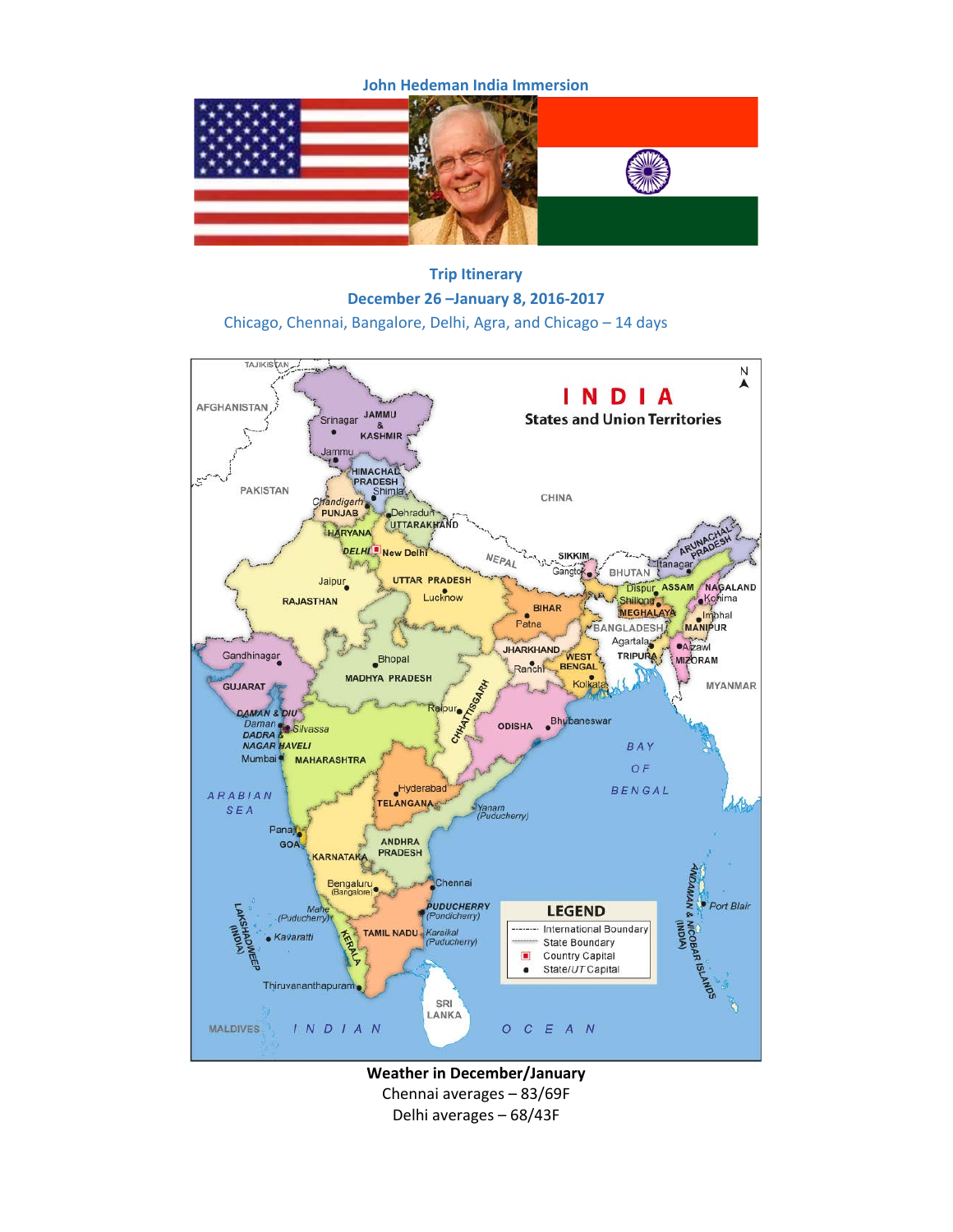**John Hedeman India Immersion**



**Trip Itinerary December 26 –January 8, 2016-2017** Chicago, Chennai, Bangalore, Delhi, Agra, and Chicago – 14 days



**Weather in December/January** Chennai averages – 83/69F Delhi averages – 68/43F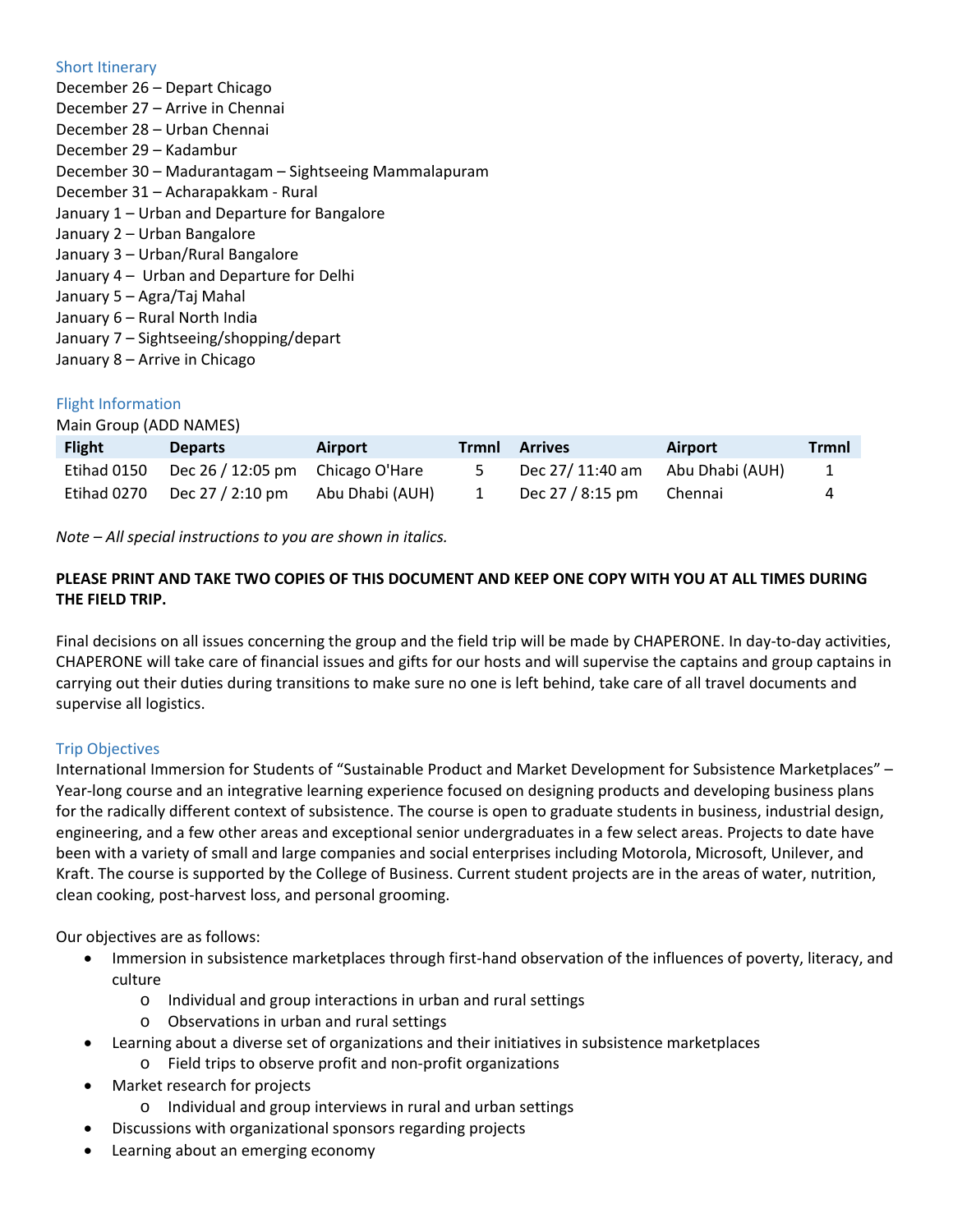## Short Itinerary

December 26 – Depart Chicago December 27 – Arrive in Chennai December 28 – Urban Chennai December 29 – Kadambur December 30 – Madurantagam – Sightseeing Mammalapuram December 31 – Acharapakkam - Rural January 1 – Urban and Departure for Bangalore January 2 – Urban Bangalore January 3 – Urban/Rural Bangalore January 4 – Urban and Departure for Delhi January 5 – Agra/Taj Mahal January 6 – Rural North India January 7 – Sightseeing/shopping/depart January 8 – Arrive in Chicago

# Flight Information

Main Group (ADD NAMES)

| <b>Flight</b> | <b>Departs</b>                   | Airport         | <b>Trmnl Arrives</b> | Airport         | Trmnl |
|---------------|----------------------------------|-----------------|----------------------|-----------------|-------|
| Etihad 0150   | Dec 26 / 12:05 pm Chicago O'Hare |                 | Dec 27/ 11:40 am     | Abu Dhabi (AUH) | 1     |
| Etihad 0270   | Dec 27 / 2:10 pm                 | Abu Dhabi (AUH) | Dec 27 / 8:15 pm     | Chennai         | 4     |

*Note – All special instructions to you are shown in italics.*

# **PLEASE PRINT AND TAKE TWO COPIES OF THIS DOCUMENT AND KEEP ONE COPY WITH YOU AT ALL TIMES DURING THE FIELD TRIP.**

Final decisions on all issues concerning the group and the field trip will be made by CHAPERONE. In day-to-day activities, CHAPERONE will take care of financial issues and gifts for our hosts and will supervise the captains and group captains in carrying out their duties during transitions to make sure no one is left behind, take care of all travel documents and supervise all logistics.

# Trip Objectives

International Immersion for Students of "Sustainable Product and Market Development for Subsistence Marketplaces" – Year-long course and an integrative learning experience focused on designing products and developing business plans for the radically different context of subsistence. The course is open to graduate students in business, industrial design, engineering, and a few other areas and exceptional senior undergraduates in a few select areas. Projects to date have been with a variety of small and large companies and social enterprises including Motorola, Microsoft, Unilever, and Kraft. The course is supported by the College of Business. Current student projects are in the areas of water, nutrition, clean cooking, post-harvest loss, and personal grooming.

Our objectives are as follows:

- Immersion in subsistence marketplaces through first-hand observation of the influences of poverty, literacy, and culture
	- o Individual and group interactions in urban and rural settings
	- o Observations in urban and rural settings
- Learning about a diverse set of organizations and their initiatives in subsistence marketplaces
	- o Field trips to observe profit and non-profit organizations
- Market research for projects
	- o Individual and group interviews in rural and urban settings
- Discussions with organizational sponsors regarding projects
- Learning about an emerging economy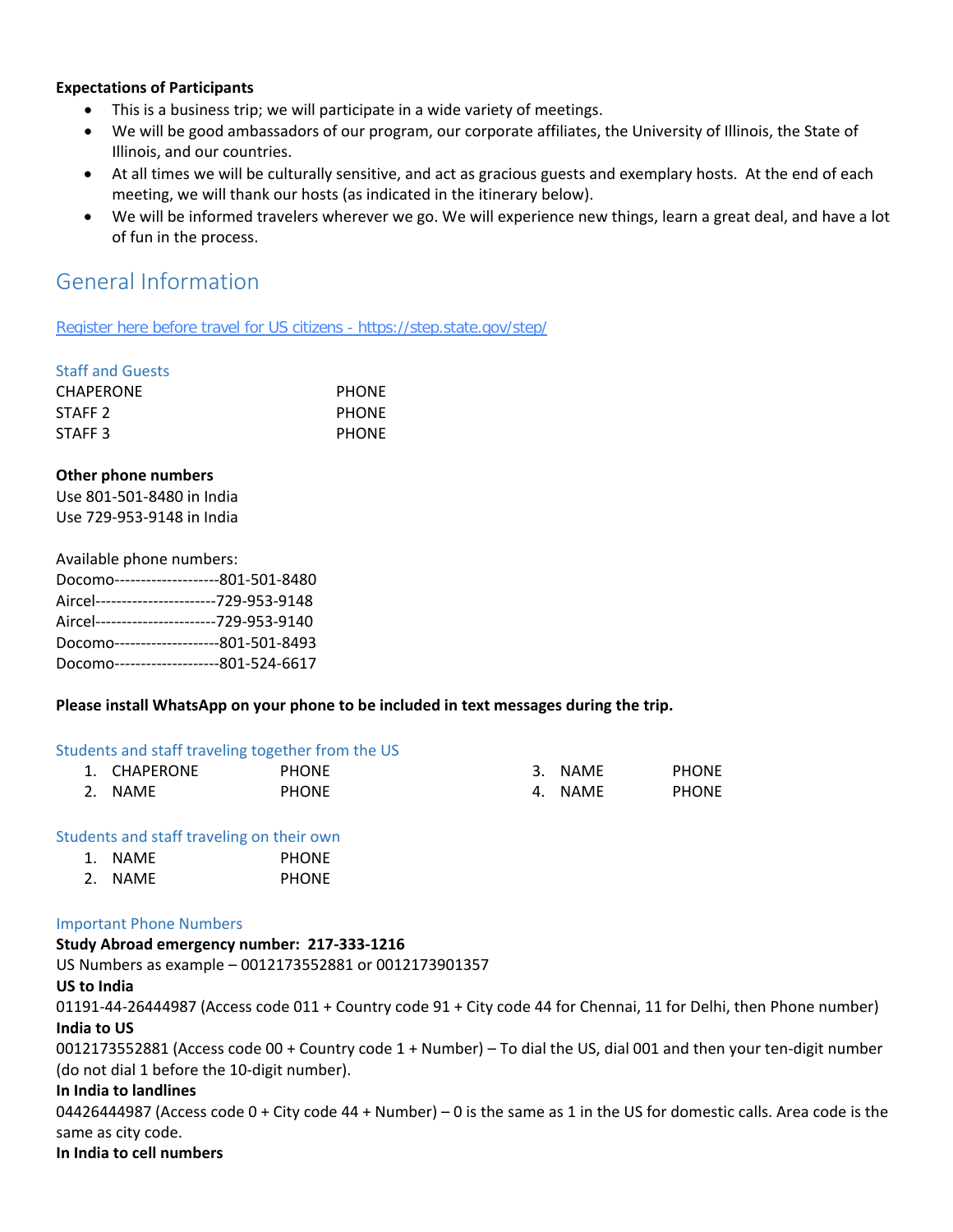## **Expectations of Participants**

- This is a business trip; we will participate in a wide variety of meetings.
- We will be good ambassadors of our program, our corporate affiliates, the University of Illinois, the State of Illinois, and our countries.
- At all times we will be culturally sensitive, and act as gracious guests and exemplary hosts. At the end of each meeting, we will thank our hosts (as indicated in the itinerary below).
- We will be informed travelers wherever we go. We will experience new things, learn a great deal, and have a lot of fun in the process.

# General Information

Register here before travel for US citizens - https://step.state.gov/step/

## Staff and Guests

| <b>CHAPERONE</b>   | <b>PHONE</b> |
|--------------------|--------------|
| STAFF <sub>2</sub> | <b>PHONE</b> |
| STAFF <sub>3</sub> | <b>PHONE</b> |

## **Other phone numbers**

Use 801-501-8480 in India Use 729-953-9148 in India

| Available phone numbers:                  |  |  |  |  |
|-------------------------------------------|--|--|--|--|
| Docomo---------------------801-501-8480   |  |  |  |  |
| Aircel-----------------------729-953-9148 |  |  |  |  |
| Aircel-----------------------729-953-9140 |  |  |  |  |
| Docomo--------------------801-501-8493    |  |  |  |  |
| Docomo--------------------801-524-6617    |  |  |  |  |
|                                           |  |  |  |  |

# **Please install WhatsApp on your phone to be included in text messages during the trip.**

## Students and staff traveling together from the US

| 1. CHAPERONE | <b>PHONE</b> | 3. NAME | <b>PHONE</b> |
|--------------|--------------|---------|--------------|
| 2. NAME      | <b>PHONE</b> | 4. NAME | <b>PHONE</b> |

## Students and staff traveling on their own

| 1. | NAME | <b>PHONE</b> |
|----|------|--------------|
|    |      |              |

2. NAME PHONE

## Important Phone Numbers

## **Study Abroad emergency number: 217-333-1216**

US Numbers as example – 0012173552881 or 0012173901357

## **US to India**

01191-44-26444987 (Access code 011 + Country code 91 + City code 44 for Chennai, 11 for Delhi, then Phone number) **India to US** 

0012173552881 (Access code 00 + Country code 1 + Number) – To dial the US, dial 001 and then your ten-digit number (do not dial 1 before the 10-digit number).

## **In India to landlines**

04426444987 (Access code  $0 +$  City code 44 + Number) – 0 is the same as 1 in the US for domestic calls. Area code is the same as city code.

## **In India to cell numbers**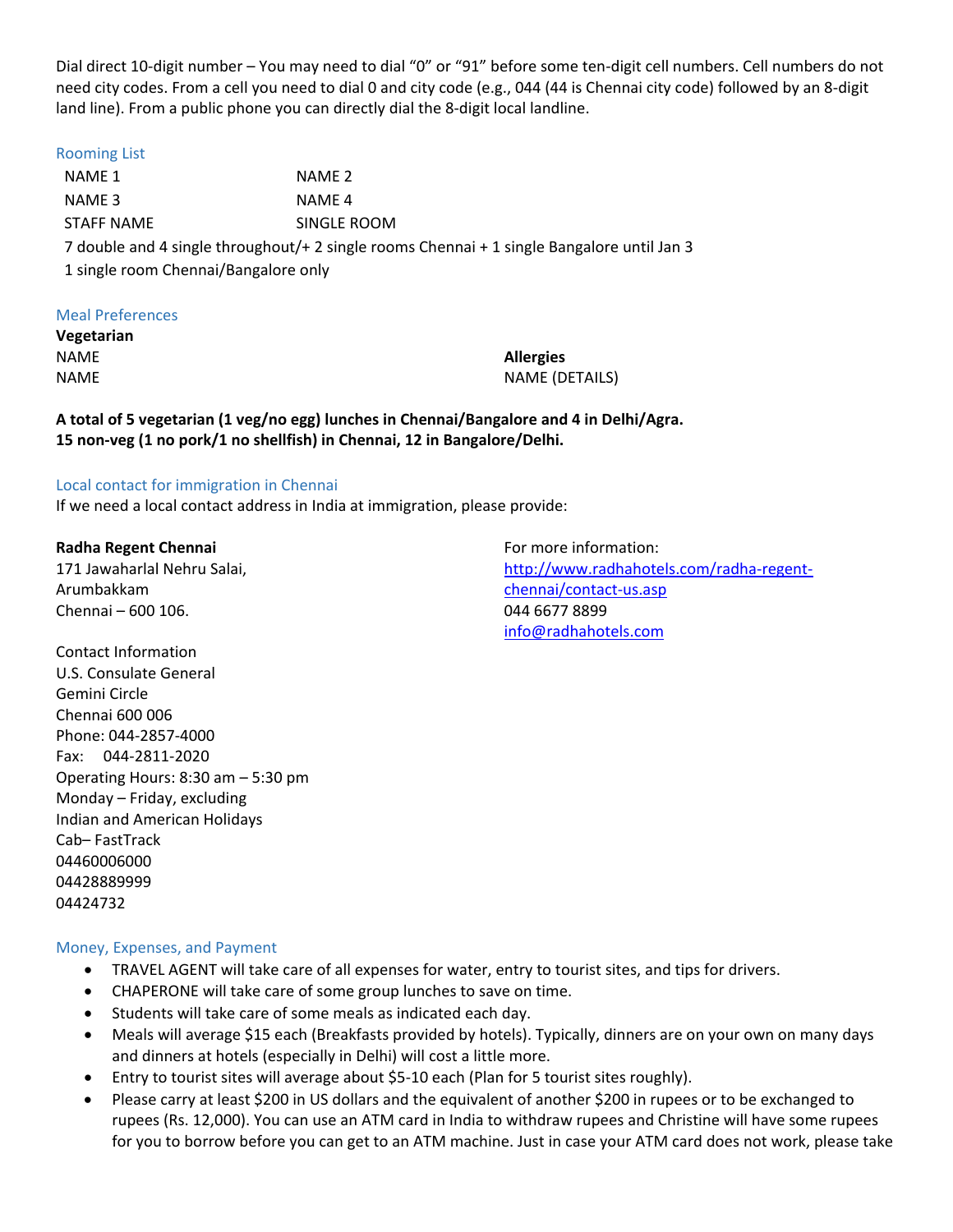Dial direct 10-digit number – You may need to dial "0" or "91" before some ten-digit cell numbers. Cell numbers do not need city codes. From a cell you need to dial 0 and city code (e.g., 044 (44 is Chennai city code) followed by an 8-digit land line). From a public phone you can directly dial the 8-digit local landline.

## Rooming List

NAME 1 NAME 2 NAME 3 NAME 4 STAFF NAME SINGLE ROOM 7 double and 4 single throughout/+ 2 single rooms Chennai + 1 single Bangalore until Jan 3 1 single room Chennai/Bangalore only

## Meal Preferences

**Vegetarian** NAME NAME

**Allergies** NAME (DETAILS)

**A total of 5 vegetarian (1 veg/no egg) lunches in Chennai/Bangalore and 4 in Delhi/Agra. 15 non-veg (1 no pork/1 no shellfish) in Chennai, 12 in Bangalore/Delhi.**

## Local contact for immigration in Chennai

If we need a local contact address in India at immigration, please provide:

**Radha Regent Chennai** 171 Jawaharlal Nehru Salai, Arumbakkam Chennai – 600 106.

For more information: [http://www.radhahotels.com/radha-regent](http://www.radhahotels.com/radha-regent-chennai/contact-us.asp)[chennai/contact-us.asp](http://www.radhahotels.com/radha-regent-chennai/contact-us.asp) 044 6677 8899 [info@radhahotels.com](mailto:info@radhahotels.com)

Contact Information U.S. Consulate General Gemini Circle Chennai 600 006 Phone: 044-2857-4000 Fax: 044-2811-2020 Operating Hours: 8:30 am – 5:30 pm Monday – Friday, excluding Indian and American Holidays Cab– FastTrack 04460006000 04428889999 04424732

# Money, Expenses, and Payment

- TRAVEL AGENT will take care of all expenses for water, entry to tourist sites, and tips for drivers.
- CHAPERONE will take care of some group lunches to save on time.
- Students will take care of some meals as indicated each day.
- Meals will average \$15 each (Breakfasts provided by hotels). Typically, dinners are on your own on many days and dinners at hotels (especially in Delhi) will cost a little more.
- Entry to tourist sites will average about \$5-10 each (Plan for 5 tourist sites roughly).
- Please carry at least \$200 in US dollars and the equivalent of another \$200 in rupees or to be exchanged to rupees (Rs. 12,000). You can use an ATM card in India to withdraw rupees and Christine will have some rupees for you to borrow before you can get to an ATM machine. Just in case your ATM card does not work, please take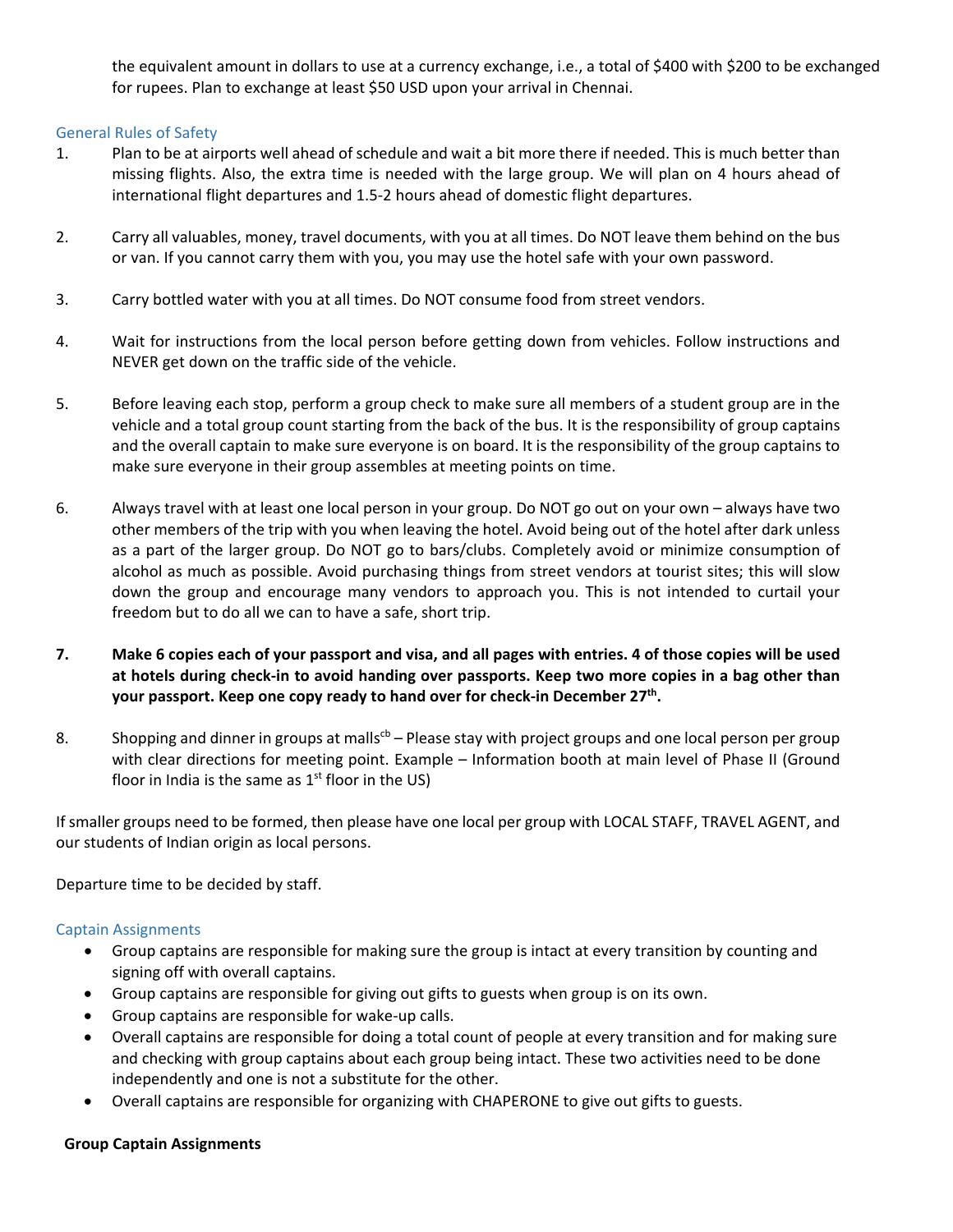the equivalent amount in dollars to use at a currency exchange, i.e., a total of \$400 with \$200 to be exchanged for rupees. Plan to exchange at least \$50 USD upon your arrival in Chennai.

## General Rules of Safety

- 1. Plan to be at airports well ahead of schedule and wait a bit more there if needed. This is much better than missing flights. Also, the extra time is needed with the large group. We will plan on 4 hours ahead of international flight departures and 1.5-2 hours ahead of domestic flight departures.
- 2. Carry all valuables, money, travel documents, with you at all times. Do NOT leave them behind on the bus or van. If you cannot carry them with you, you may use the hotel safe with your own password.
- 3. Carry bottled water with you at all times. Do NOT consume food from street vendors.
- 4. Wait for instructions from the local person before getting down from vehicles. Follow instructions and NEVER get down on the traffic side of the vehicle.
- 5. Before leaving each stop, perform a group check to make sure all members of a student group are in the vehicle and a total group count starting from the back of the bus. It is the responsibility of group captains and the overall captain to make sure everyone is on board. It is the responsibility of the group captains to make sure everyone in their group assembles at meeting points on time.
- 6. Always travel with at least one local person in your group. Do NOT go out on your own always have two other members of the trip with you when leaving the hotel. Avoid being out of the hotel after dark unless as a part of the larger group. Do NOT go to bars/clubs. Completely avoid or minimize consumption of alcohol as much as possible. Avoid purchasing things from street vendors at tourist sites; this will slow down the group and encourage many vendors to approach you. This is not intended to curtail your freedom but to do all we can to have a safe, short trip.
- **7. Make 6 copies each of your passport and visa, and all pages with entries. 4 of those copies will be used at hotels during check-in to avoid handing over passports. Keep two more copies in a bag other than your passport. Keep one copy ready to hand over for check-in December 27th.**
- 8. Shopping and dinner in groups at malls<sup>cb</sup> Please stay with project groups and one local person per group with clear directions for meeting point. Example – Information booth at main level of Phase II (Ground floor in India is the same as  $1<sup>st</sup>$  floor in the US)

If smaller groups need to be formed, then please have one local per group with LOCAL STAFF, TRAVEL AGENT, and our students of Indian origin as local persons.

Departure time to be decided by staff.

# Captain Assignments

- Group captains are responsible for making sure the group is intact at every transition by counting and signing off with overall captains.
- Group captains are responsible for giving out gifts to guests when group is on its own.
- Group captains are responsible for wake-up calls.
- Overall captains are responsible for doing a total count of people at every transition and for making sure and checking with group captains about each group being intact. These two activities need to be done independently and one is not a substitute for the other.
- Overall captains are responsible for organizing with CHAPERONE to give out gifts to guests.

## **Group Captain Assignments**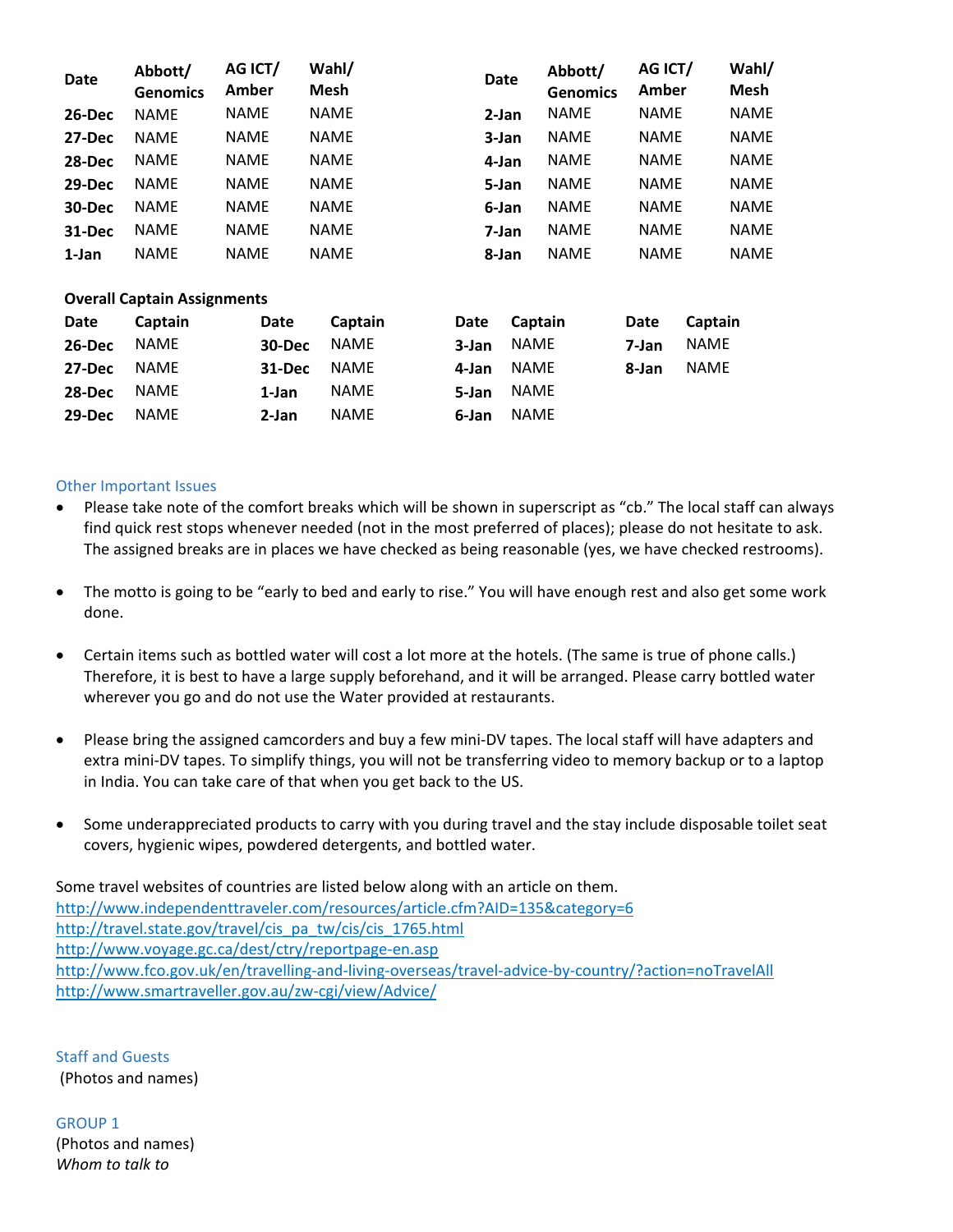| Date   | Abbott/<br><b>Genomics</b> | AG ICT/<br>Amber | Wahl/<br><b>Mesh</b> | <b>Date</b> | Abbott/<br><b>Genomics</b> | AG ICT/<br>Amber | Wahl/<br><b>Mesh</b> |
|--------|----------------------------|------------------|----------------------|-------------|----------------------------|------------------|----------------------|
| 26-Dec | <b>NAME</b>                | <b>NAME</b>      | <b>NAME</b>          | $2-Jan$     | <b>NAME</b>                | <b>NAME</b>      | <b>NAME</b>          |
| 27-Dec | <b>NAME</b>                | <b>NAME</b>      | <b>NAME</b>          | 3-Jan       | <b>NAME</b>                | <b>NAME</b>      | <b>NAME</b>          |
| 28-Dec | <b>NAME</b>                | <b>NAME</b>      | <b>NAME</b>          | 4-Jan       | <b>NAME</b>                | <b>NAME</b>      | <b>NAME</b>          |
| 29-Dec | <b>NAME</b>                | <b>NAME</b>      | <b>NAME</b>          | 5-Jan       | <b>NAME</b>                | <b>NAME</b>      | <b>NAME</b>          |
| 30-Dec | <b>NAME</b>                | <b>NAME</b>      | <b>NAME</b>          | 6-Jan       | <b>NAME</b>                | <b>NAME</b>      | <b>NAME</b>          |
| 31-Dec | <b>NAME</b>                | <b>NAME</b>      | <b>NAME</b>          | 7-Jan       | <b>NAME</b>                | <b>NAME</b>      | <b>NAME</b>          |
| 1-Jan  | <b>NAME</b>                | <b>NAME</b>      | <b>NAME</b>          | 8-Jan       | <b>NAME</b>                | <b>NAME</b>      | <b>NAME</b>          |

## **Overall Captain Assignments**

| Date   | Captain     | Date     | Captain     | Date       | Captain    | Date  | Captain     |
|--------|-------------|----------|-------------|------------|------------|-------|-------------|
| 26-Dec | NAME        | 30-Dec   | NAME        |            | 3-Jan NAME | 7-Jan | <b>NAME</b> |
| 27-Dec | NAME        | $31-Dec$ | NAME        | 4-Jan NAME |            | 8-Jan | <b>NAME</b> |
| 28-Dec | NAME        | $1$ -Jan | <b>NAME</b> | 5-Jan      | NAME       |       |             |
| 29-Dec | <b>NAME</b> | 2-Jan    | <b>NAME</b> | 6-Jan      | NAME       |       |             |

## Other Important Issues

- Please take note of the comfort breaks which will be shown in superscript as "cb." The local staff can always find quick rest stops whenever needed (not in the most preferred of places); please do not hesitate to ask. The assigned breaks are in places we have checked as being reasonable (yes, we have checked restrooms).
- The motto is going to be "early to bed and early to rise." You will have enough rest and also get some work done.
- Certain items such as bottled water will cost a lot more at the hotels. (The same is true of phone calls.) Therefore, it is best to have a large supply beforehand, and it will be arranged. Please carry bottled water wherever you go and do not use the Water provided at restaurants.
- Please bring the assigned camcorders and buy a few mini-DV tapes. The local staff will have adapters and extra mini-DV tapes. To simplify things, you will not be transferring video to memory backup or to a laptop in India. You can take care of that when you get back to the US.
- Some underappreciated products to carry with you during travel and the stay include disposable toilet seat covers, hygienic wipes, powdered detergents, and bottled water.

Some travel websites of countries are listed below along with an article on them. <http://www.independenttraveler.com/resources/article.cfm?AID=135&category=6> [http://travel.state.gov/travel/cis\\_pa\\_tw/cis/cis\\_1765.html](http://travel.state.gov/travel/cis_pa_tw/cis/cis_1765.html) <http://www.voyage.gc.ca/dest/ctry/reportpage-en.asp> <http://www.fco.gov.uk/en/travelling-and-living-overseas/travel-advice-by-country/?action=noTravelAll> <http://www.smartraveller.gov.au/zw-cgi/view/Advice/>

Staff and Guests (Photos and names)

GROUP 1 (Photos and names) *Whom to talk to*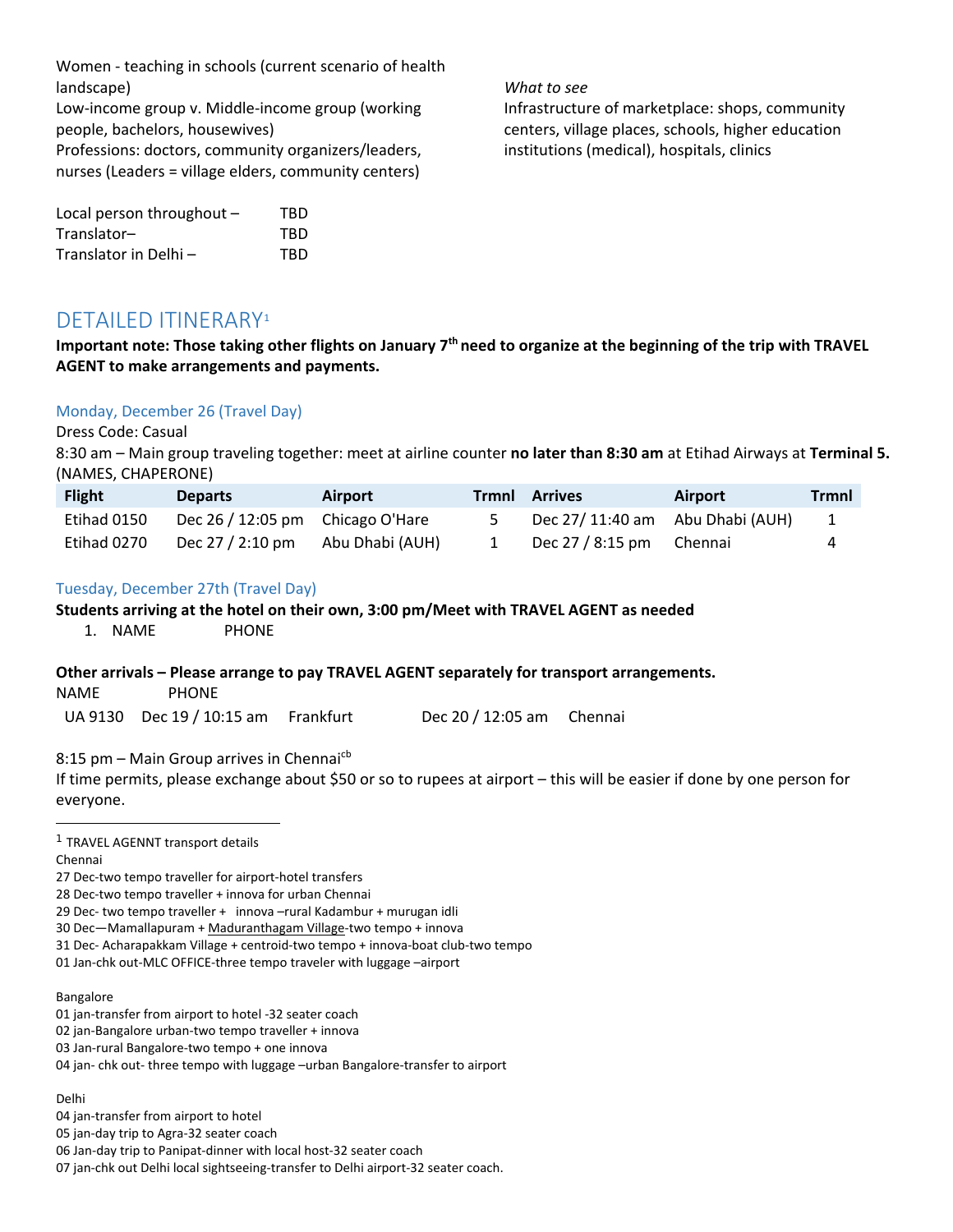Women - teaching in schools (current scenario of health landscape)

Low-income group v. Middle-income group (working people, bachelors, housewives) Professions: doctors, community organizers/leaders, nurses (Leaders = village elders, community centers)

| Local person throughout $-$ | TBD |
|-----------------------------|-----|
| Translator-                 | TBD |
| Translator in Delhi-        | TBD |

*What to see*

Infrastructure of marketplace: shops, community centers, village places, schools, higher education institutions (medical), hospitals, clinics

# DETAILED ITINERARY[1](#page-6-0)

**Important note: Those taking other flights on January 7th need to organize at the beginning of the trip with TRAVEL AGENT to make arrangements and payments.** 

# Monday, December 26 (Travel Day)

#### Dress Code: Casual

8:30 am – Main group traveling together: meet at airline counter **no later than 8:30 am** at Etihad Airways at **Terminal 5.** (NAMES, CHAPERONE)

| <b>Flight</b> | <b>Departs</b>                           | <b>Airport</b>  | Trmnl | Arrives                          | <b>Airport</b> | <b>Trmnl</b> |
|---------------|------------------------------------------|-----------------|-------|----------------------------------|----------------|--------------|
| Etihad 0150   | Dec $26/12:05 \text{ pm}$ Chicago O'Hare |                 |       | Dec 27/ 11:40 am Abu Dhabi (AUH) |                |              |
| Etihad 0270   | Dec 27 / 2:10 pm                         | Abu Dhabi (AUH) |       | Dec $27/8:15 \text{ pm}$ Chennai |                | 4            |

## Tuesday, December 27th (Travel Day)

## **Students arriving at the hotel on their own, 3:00 pm/Meet with TRAVEL AGENT as needed**

1. NAME PHONE

## **Other arrivals – Please arrange to pay TRAVEL AGENT separately for transport arrangements.**

NAME PHONE

UA 9130 Dec 19 / 10:15 am Frankfurt Dec 20 / 12:05 am Chennai

8:15 pm - Main Group arrives in Chennai<sup>cb</sup>

If time permits, please exchange about \$50 or so to rupees at airport – this will be easier if done by one person for everyone.

<span id="page-6-0"></span><sup>1</sup> TRAVEL AGENNT transport details

Chennai

l

27 Dec-two tempo traveller for airport-hotel transfers

28 Dec-two tempo traveller + innova for urban Chennai

29 Dec- two tempo traveller + innova –rural Kadambur + murugan idli

30 Dec—Mamallapuram + Maduranthagam Village-two tempo + innova

31 Dec- Acharapakkam Village + centroid-two tempo + innova-boat club-two tempo

01 Jan-chk out-MLC OFFICE-three tempo traveler with luggage –airport

Bangalore

01 jan-transfer from airport to hotel -32 seater coach

02 jan-Bangalore urban-two tempo traveller + innova

03 Jan-rural Bangalore-two tempo + one innova

04 jan- chk out- three tempo with luggage –urban Bangalore-transfer to airport

Delhi

04 jan-transfer from airport to hotel

<sup>05</sup> jan-day trip to Agra-32 seater coach

<sup>06</sup> Jan-day trip to Panipat-dinner with local host-32 seater coach

<sup>07</sup> jan-chk out Delhi local sightseeing-transfer to Delhi airport-32 seater coach.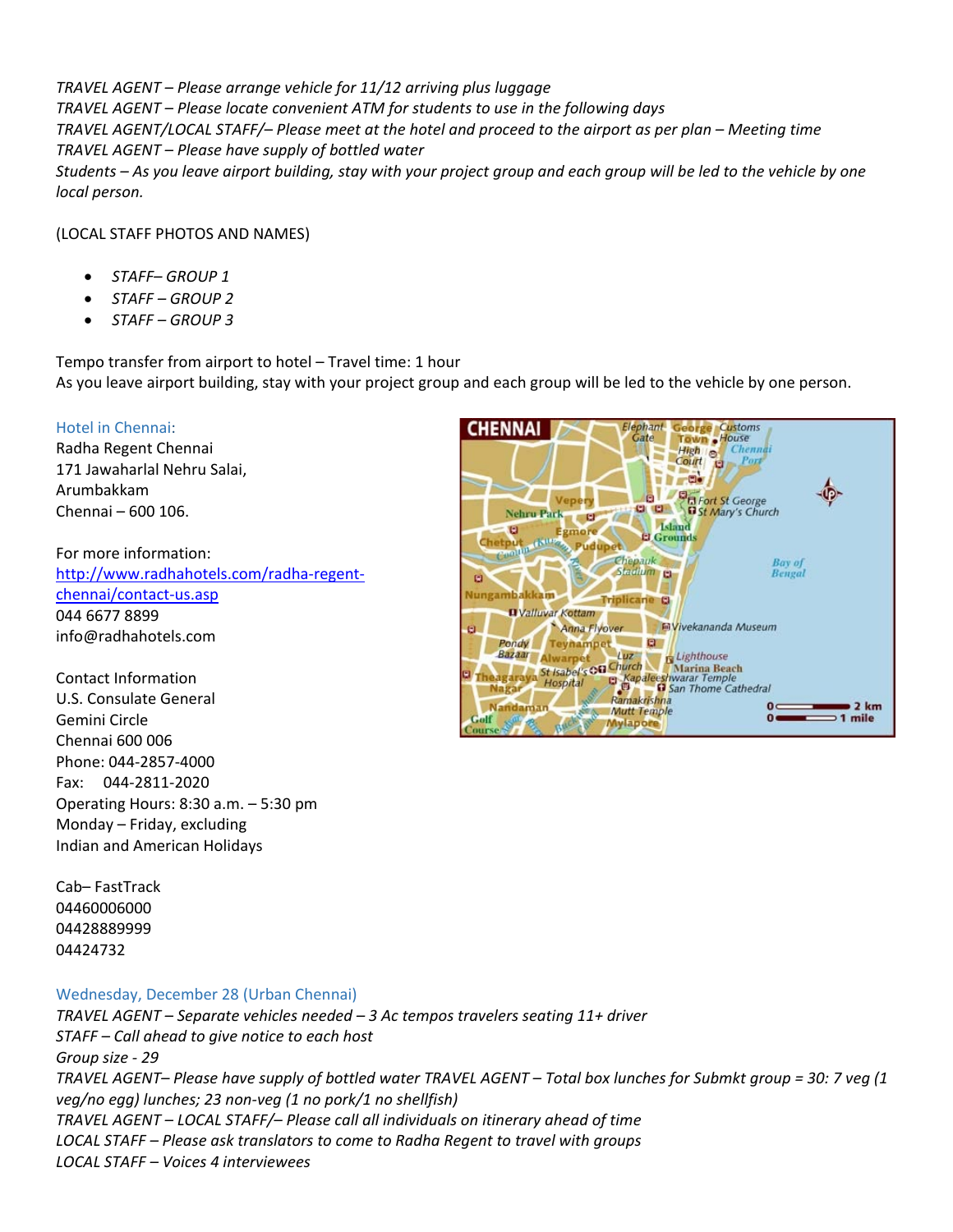*TRAVEL AGENT – Please arrange vehicle for 11/12 arriving plus luggage TRAVEL AGENT – Please locate convenient ATM for students to use in the following days TRAVEL AGENT/LOCAL STAFF/– Please meet at the hotel and proceed to the airport as per plan – Meeting time TRAVEL AGENT – Please have supply of bottled water Students – As you leave airport building, stay with your project group and each group will be led to the vehicle by one local person.*

(LOCAL STAFF PHOTOS AND NAMES)

- *STAFF– GROUP 1*
- *STAFF – GROUP 2*
- *STAFF – GROUP 3*

Tempo transfer from airport to hotel – Travel time: 1 hour As you leave airport building, stay with your project group and each group will be led to the vehicle by one person.

# Hotel in Chennai:

Radha Regent Chennai 171 Jawaharlal Nehru Salai, Arumbakkam Chennai – 600 106.

For more information: [http://www.radhahotels.com/radha-regent](http://www.radhahotels.com/radha-regent-chennai/contact-us.asp)[chennai/contact-us.asp](http://www.radhahotels.com/radha-regent-chennai/contact-us.asp) 044 6677 8899 info@radhahotels.com

Contact Information U.S. Consulate General Gemini Circle Chennai 600 006 Phone: 044-2857-4000 Fax: 044-2811-2020 Operating Hours: 8:30 a.m. – 5:30 pm Monday – Friday, excluding Indian and American Holidays

George Customs<br>Town House **CHENNAI Elephant Gate** High o Chem Court o li artis **DE Fort St George**<br> **DE Fort St George** Vepery **Nehru Park**  $\mathbf{C}$ Island  $\blacksquare$ **Egmore El Grounds** Chetput  $480$ Pudupet Chepauk Bay of Stadium **Bengal** E E) Nungambakkam **Triplicane O D** Valluvar Kottam **M** Vivekananda Museum Anna Flyover Pondy Teynampet  $\Box$ **Bazaar Alwarpet**<br> **Luz** Lighthouse<br> **Luzz** Marina Beach<br> **Ragaraya Hospital**<br> **Ragaraya Hospital**<br> **Ragaraya Hospital**<br> **Ragaraya Hospital**<br> **Ragaraya Hospital**<br> **Ragaraya Hospital Nagar** Ramakrishna Nandaman  $2 km$ **Mutt Temple** m.  $\overline{0}$  $\supset$  1 mile Golf **Mylapore** 

Cab– FastTrack 04460006000 04428889999 04424732

## Wednesday, December 28 (Urban Chennai)

*TRAVEL AGENT – Separate vehicles needed – 3 Ac tempos travelers seating 11+ driver STAFF – Call ahead to give notice to each host Group size - 29 TRAVEL AGENT– Please have supply of bottled water TRAVEL AGENT – Total box lunches for Submkt group = 30: 7 veg (1 veg/no egg) lunches; 23 non-veg (1 no pork/1 no shellfish) TRAVEL AGENT – LOCAL STAFF/– Please call all individuals on itinerary ahead of time LOCAL STAFF – Please ask translators to come to Radha Regent to travel with groups LOCAL STAFF – Voices 4 interviewees*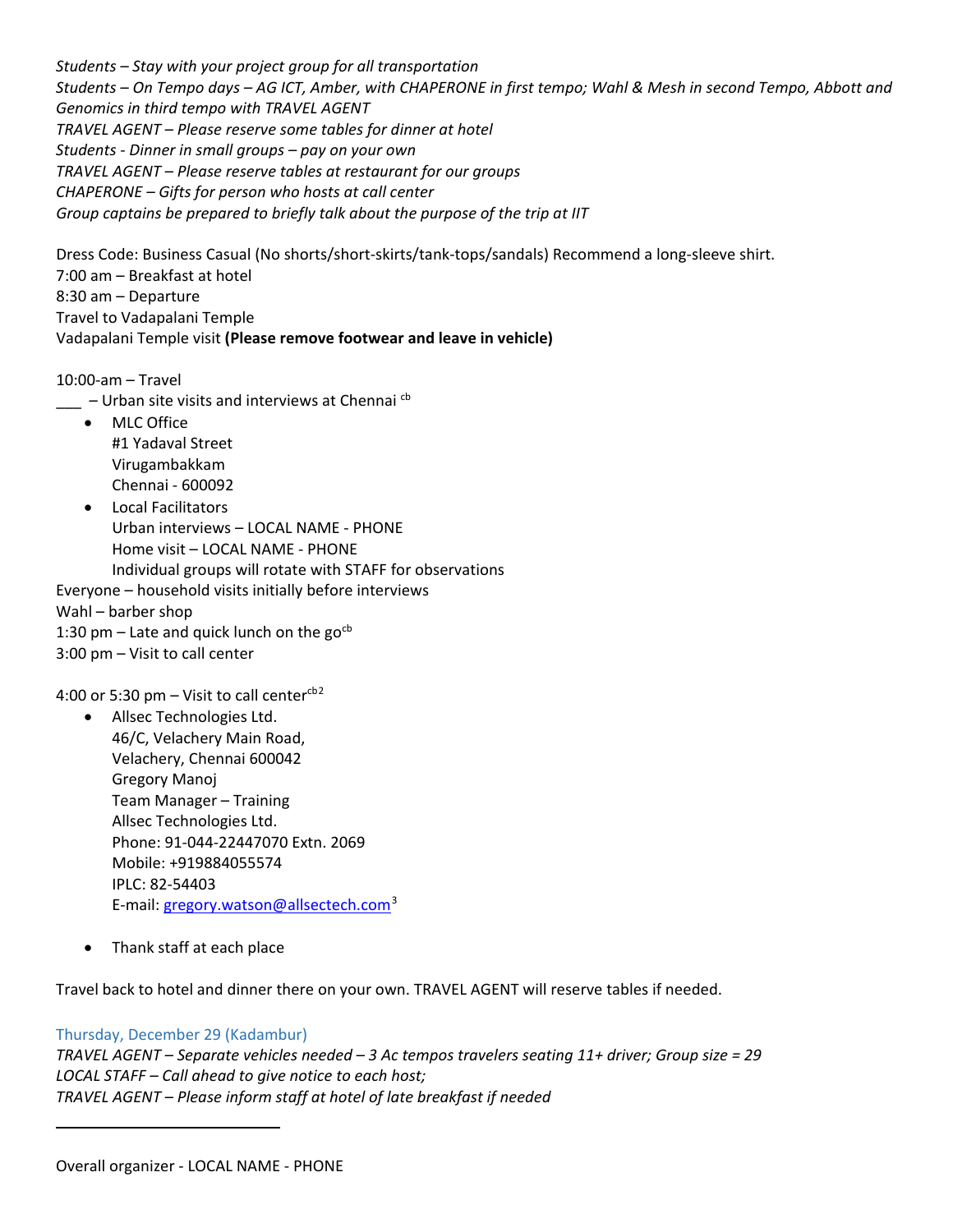*Students – Stay with your project group for all transportation Students – On Tempo days – AG ICT, Amber, with CHAPERONE in first tempo; Wahl & Mesh in second Tempo, Abbott and Genomics in third tempo with TRAVEL AGENT TRAVEL AGENT – Please reserve some tables for dinner at hotel Students - Dinner in small groups – pay on your own TRAVEL AGENT – Please reserve tables at restaurant for our groups CHAPERONE – Gifts for person who hosts at call center Group captains be prepared to briefly talk about the purpose of the trip at IIT*

Dress Code: Business Casual (No shorts/short-skirts/tank-tops/sandals) Recommend a long-sleeve shirt. 7:00 am – Breakfast at hotel 8:30 am – Departure Travel to Vadapalani Temple Vadapalani Temple visit **(Please remove footwear and leave in vehicle)**

10:00-am – Travel

- $\mu$  Urban site visits and interviews at Chennai  $\epsilon$ <sup>b</sup>
	- MLC Office #1 Yadaval Street Virugambakkam Chennai - 600092
- Local Facilitators Urban interviews – LOCAL NAME - PHONE Home visit – LOCAL NAME - PHONE Individual groups will rotate with STAFF for observations Everyone – household visits initially before interviews

Wahl – barber shop

- 1:30 pm Late and quick lunch on the  $go<sup>cb</sup>$
- 3:00 pm Visit to call center

4:00 or 5:30 pm – Visit to call center $\text{c}^{62}$  $\text{c}^{62}$  $\text{c}^{62}$ 

• Allsec Technologies Ltd. 46/C, Velachery Main Road, Velachery, Chennai 600042 Gregory Manoj Team Manager – Training Allsec Technologies Ltd. Phone: 91-044-22447070 Extn. 2069 Mobile: +919884055574 IPLC: 82-54403 E-mail: [gregory.watson@allsectech.com](mailto:gregory.watson@allsectech.com)<sup>[3](#page-8-1)</sup>

• Thank staff at each place

Travel back to hotel and dinner there on your own. TRAVEL AGENT will reserve tables if needed.

# Thursday, December 29 (Kadambur)

<span id="page-8-1"></span><span id="page-8-0"></span> $\overline{\phantom{a}}$ 

*TRAVEL AGENT – Separate vehicles needed – 3 Ac tempos travelers seating 11+ driver; Group size = 29 LOCAL STAFF – Call ahead to give notice to each host; TRAVEL AGENT – Please inform staff at hotel of late breakfast if needed*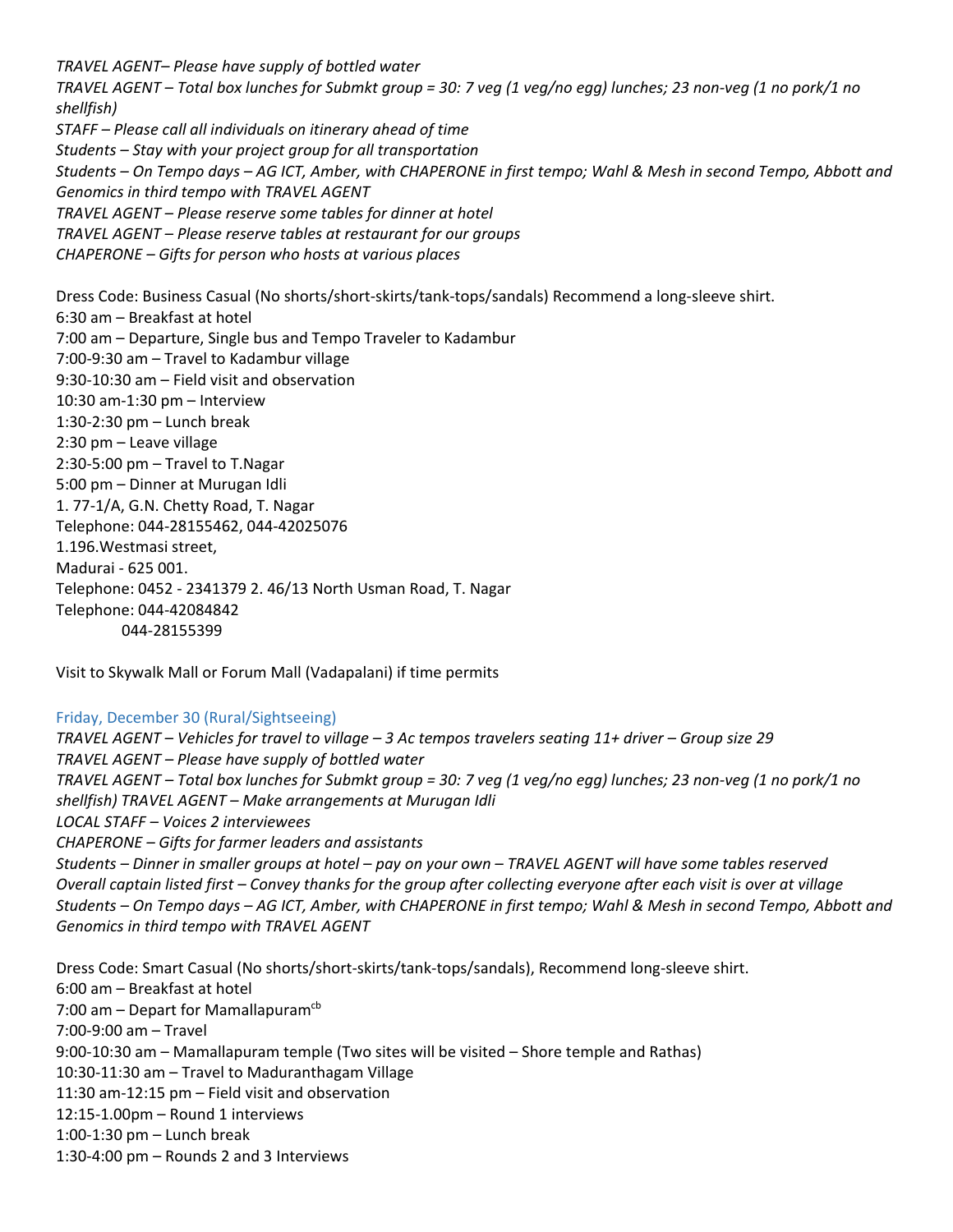*TRAVEL AGENT– Please have supply of bottled water TRAVEL AGENT – Total box lunches for Submkt group = 30: 7 veg (1 veg/no egg) lunches; 23 non-veg (1 no pork/1 no shellfish) STAFF – Please call all individuals on itinerary ahead of time Students – Stay with your project group for all transportation Students – On Tempo days – AG ICT, Amber, with CHAPERONE in first tempo; Wahl & Mesh in second Tempo, Abbott and Genomics in third tempo with TRAVEL AGENT TRAVEL AGENT – Please reserve some tables for dinner at hotel TRAVEL AGENT – Please reserve tables at restaurant for our groups CHAPERONE – Gifts for person who hosts at various places* Dress Code: Business Casual (No shorts/short-skirts/tank-tops/sandals) Recommend a long-sleeve shirt. 6:30 am – Breakfast at hotel 7:00 am – Departure, Single bus and Tempo Traveler to Kadambur 7:00-9:30 am – Travel to Kadambur village 9:30-10:30 am – Field visit and observation 10:30 am-1:30 pm – Interview 1:30-2:30 pm – Lunch break 2:30 pm – Leave village 2:30-5:00 pm – Travel to T.Nagar 5:00 pm – Dinner at Murugan Idli 1. 77-1/A, G.N. Chetty Road, T. Nagar Telephone: 044-28155462, 044-42025076 1.196.Westmasi street, Madurai - 625 001. Telephone: 0452 - 2341379 2. 46/13 North Usman Road, T. Nagar Telephone: 044-42084842 044-28155399

Visit to Skywalk Mall or Forum Mall (Vadapalani) if time permits

## Friday, December 30 (Rural/Sightseeing)

*TRAVEL AGENT – Vehicles for travel to village – 3 Ac tempos travelers seating 11+ driver – Group size 29 TRAVEL AGENT – Please have supply of bottled water TRAVEL AGENT – Total box lunches for Submkt group = 30: 7 veg (1 veg/no egg) lunches; 23 non-veg (1 no pork/1 no shellfish) TRAVEL AGENT – Make arrangements at Murugan Idli LOCAL STAFF – Voices 2 interviewees CHAPERONE – Gifts for farmer leaders and assistants Students – Dinner in smaller groups at hotel – pay on your own – TRAVEL AGENT will have some tables reserved Overall captain listed first – Convey thanks for the group after collecting everyone after each visit is over at village Students – On Tempo days – AG ICT, Amber, with CHAPERONE in first tempo; Wahl & Mesh in second Tempo, Abbott and Genomics in third tempo with TRAVEL AGENT*

Dress Code: Smart Casual (No shorts/short-skirts/tank-tops/sandals), Recommend long-sleeve shirt. 6:00 am – Breakfast at hotel 7:00 am  $-$  Depart for Mamallapuram<sup>cb</sup> 7:00-9:00 am – Travel 9:00-10:30 am – Mamallapuram temple (Two sites will be visited – Shore temple and Rathas) 10:30-11:30 am – Travel to Maduranthagam Village 11:30 am-12:15 pm – Field visit and observation 12:15-1.00pm – Round 1 interviews 1:00-1:30 pm – Lunch break 1:30-4:00 pm – Rounds 2 and 3 Interviews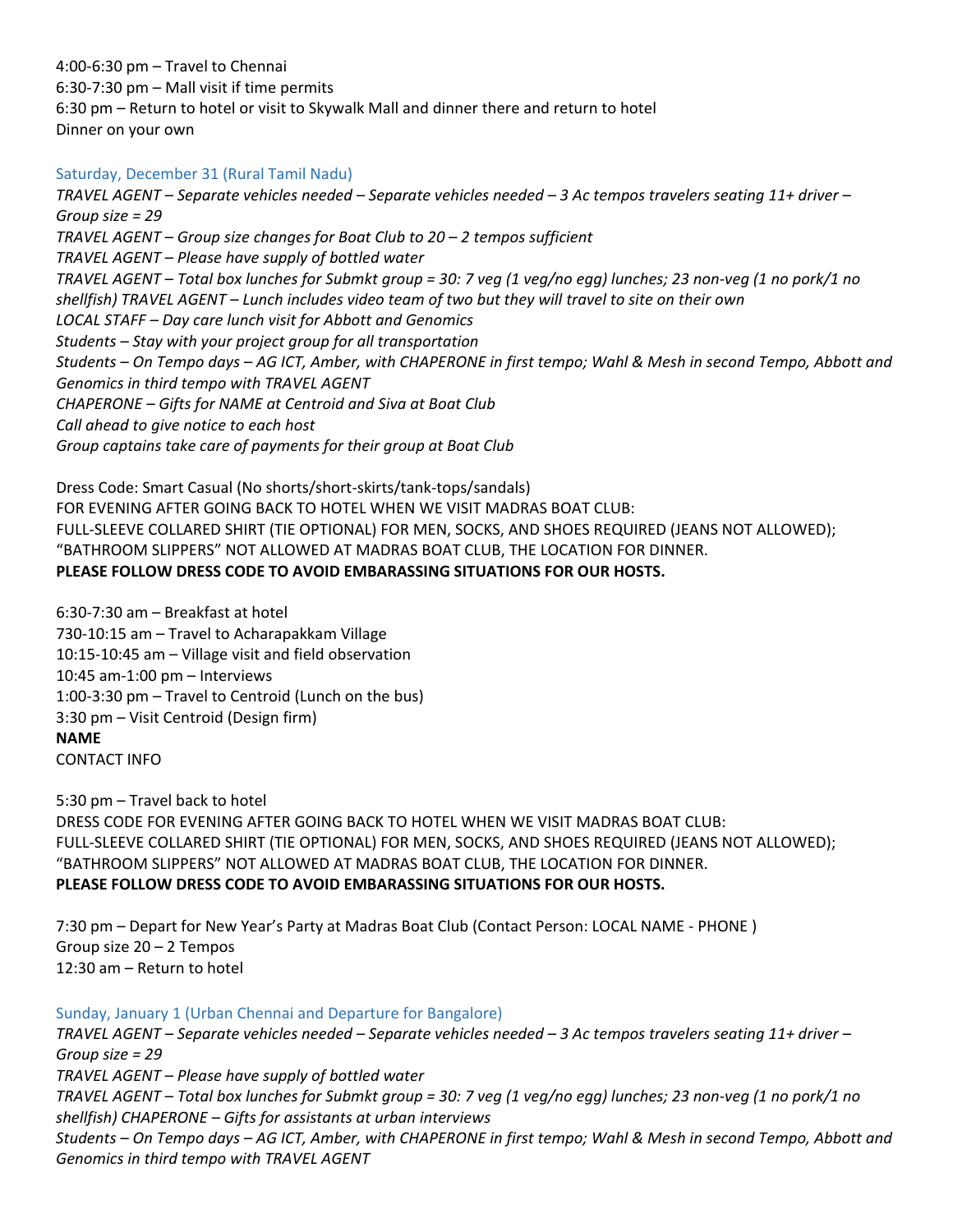4:00-6:30 pm – Travel to Chennai 6:30-7:30 pm – Mall visit if time permits 6:30 pm – Return to hotel or visit to Skywalk Mall and dinner there and return to hotel Dinner on your own

# Saturday, December 31 (Rural Tamil Nadu)

*TRAVEL AGENT – Separate vehicles needed – Separate vehicles needed – 3 Ac tempos travelers seating 11+ driver – Group size = 29 TRAVEL AGENT – Group size changes for Boat Club to 20 – 2 tempos sufficient TRAVEL AGENT – Please have supply of bottled water TRAVEL AGENT – Total box lunches for Submkt group = 30: 7 veg (1 veg/no egg) lunches; 23 non-veg (1 no pork/1 no shellfish) TRAVEL AGENT – Lunch includes video team of two but they will travel to site on their own LOCAL STAFF – Day care lunch visit for Abbott and Genomics Students – Stay with your project group for all transportation Students – On Tempo days – AG ICT, Amber, with CHAPERONE in first tempo; Wahl & Mesh in second Tempo, Abbott and Genomics in third tempo with TRAVEL AGENT CHAPERONE – Gifts for NAME at Centroid and Siva at Boat Club Call ahead to give notice to each host Group captains take care of payments for their group at Boat Club* 

Dress Code: Smart Casual (No shorts/short-skirts/tank-tops/sandals) FOR EVENING AFTER GOING BACK TO HOTEL WHEN WE VISIT MADRAS BOAT CLUB: FULL-SLEEVE COLLARED SHIRT (TIE OPTIONAL) FOR MEN, SOCKS, AND SHOES REQUIRED (JEANS NOT ALLOWED); "BATHROOM SLIPPERS" NOT ALLOWED AT MADRAS BOAT CLUB, THE LOCATION FOR DINNER. **PLEASE FOLLOW DRESS CODE TO AVOID EMBARASSING SITUATIONS FOR OUR HOSTS.**

6:30-7:30 am – Breakfast at hotel 730-10:15 am – Travel to Acharapakkam Village 10:15-10:45 am – Village visit and field observation 10:45 am-1:00 pm – Interviews 1:00-3:30 pm – Travel to Centroid (Lunch on the bus) 3:30 pm – Visit Centroid (Design firm) **NAME** CONTACT INFO

5:30 pm – Travel back to hotel DRESS CODE FOR EVENING AFTER GOING BACK TO HOTEL WHEN WE VISIT MADRAS BOAT CLUB: FULL-SLEEVE COLLARED SHIRT (TIE OPTIONAL) FOR MEN, SOCKS, AND SHOES REQUIRED (JEANS NOT ALLOWED); "BATHROOM SLIPPERS" NOT ALLOWED AT MADRAS BOAT CLUB, THE LOCATION FOR DINNER. **PLEASE FOLLOW DRESS CODE TO AVOID EMBARASSING SITUATIONS FOR OUR HOSTS.**

7:30 pm – Depart for New Year's Party at Madras Boat Club (Contact Person: LOCAL NAME - PHONE ) Group size 20 – 2 Tempos 12:30 am – Return to hotel

Sunday, January 1 (Urban Chennai and Departure for Bangalore) *TRAVEL AGENT – Separate vehicles needed – Separate vehicles needed – 3 Ac tempos travelers seating 11+ driver – Group size = 29 TRAVEL AGENT – Please have supply of bottled water TRAVEL AGENT – Total box lunches for Submkt group = 30: 7 veg (1 veg/no egg) lunches; 23 non-veg (1 no pork/1 no shellfish) CHAPERONE – Gifts for assistants at urban interviews Students – On Tempo days – AG ICT, Amber, with CHAPERONE in first tempo; Wahl & Mesh in second Tempo, Abbott and Genomics in third tempo with TRAVEL AGENT*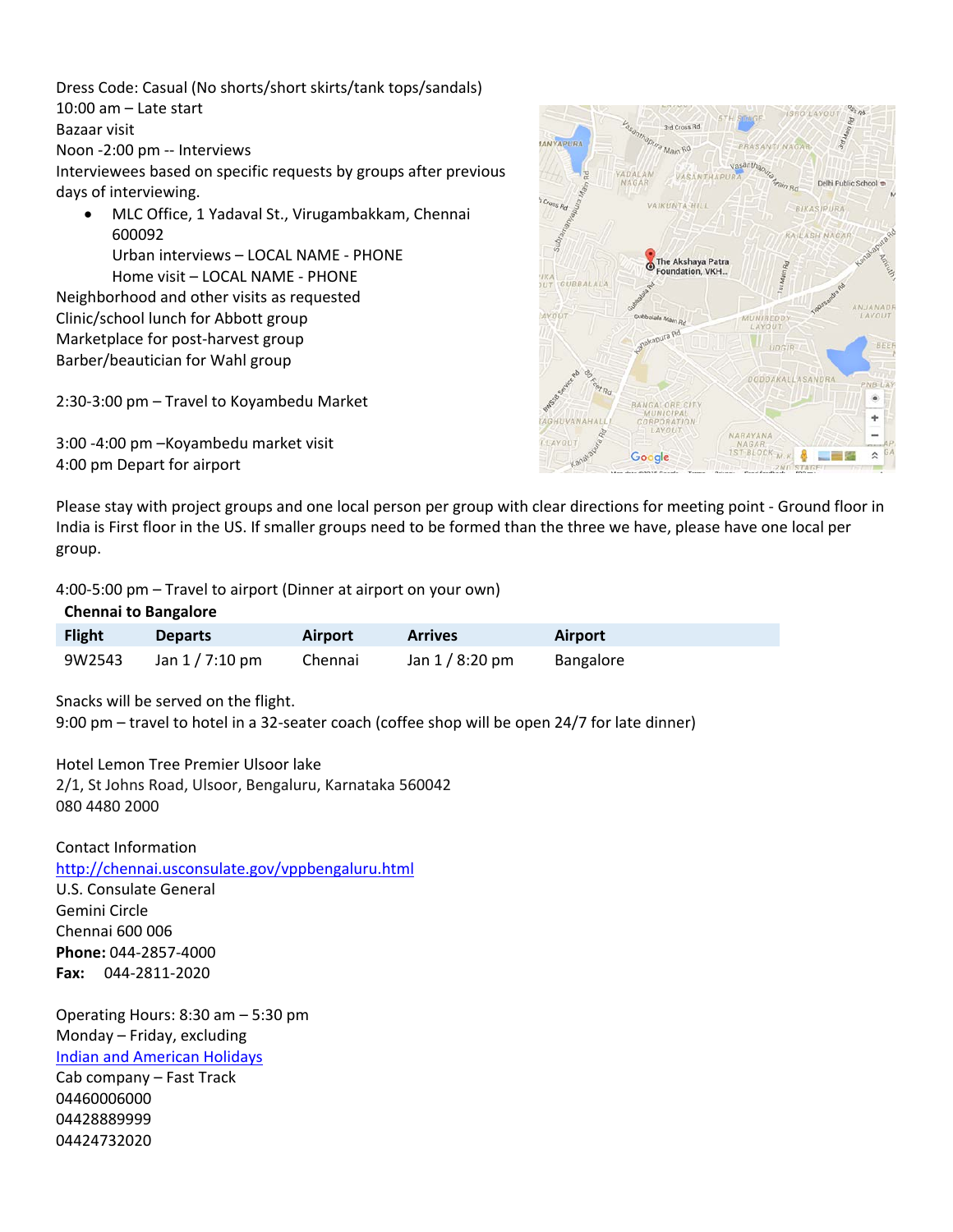Dress Code: Casual (No shorts/short skirts/tank tops/sandals) 10:00 am – Late start Bazaar visit Noon -2:00 pm -- Interviews Interviewees based on specific requests by groups after previous days of interviewing.

• MLC Office, 1 Yadaval St., Virugambakkam, Chennai 600092 Urban interviews – LOCAL NAME - PHONE Home visit – LOCAL NAME - PHONE

Neighborhood and other visits as requested Clinic/school lunch for Abbott group Marketplace for post-harvest group Barber/beautician for Wahl group

2:30-3:00 pm – Travel to Koyambedu Market

3:00 -4:00 pm –Koyambedu market visit 4:00 pm Depart for airport



Please stay with project groups and one local person per group with clear directions for meeting point - Ground floor in India is First floor in the US. If smaller groups need to be formed than the three we have, please have one local per group.

4:00-5:00 pm – Travel to airport (Dinner at airport on your own)

#### **Chennai to Bangalore**

| <b>Flight</b> | <b>Departs</b>  | <b>Airport</b> | <b>Arrives</b>  | Airport   |  |
|---------------|-----------------|----------------|-----------------|-----------|--|
| 9W2543        | Jan 1 / 7:10 pm | Chennai        | Jan $1/8:20$ pm | Bangalore |  |

Snacks will be served on the flight.

9:00 pm – travel to hotel in a 32-seater coach (coffee shop will be open 24/7 for late dinner)

Hotel Lemon Tree Premier Ulsoor lake 2/1, St Johns Road, Ulsoor, Bengaluru, Karnataka 560042 080 4480 2000

Contact Information <http://chennai.usconsulate.gov/vppbengaluru.html> U.S. Consulate General Gemini Circle Chennai 600 006 **Phone:** 044-2857-4000 **Fax:** 044-2811-2020

Operating Hours: 8:30 am – 5:30 pm Monday – Friday, excluding [Indian and American Holidays](http://chennai.usconsulate.gov/holidays2.html) Cab company – Fast Track

04460006000 04428889999 04424732020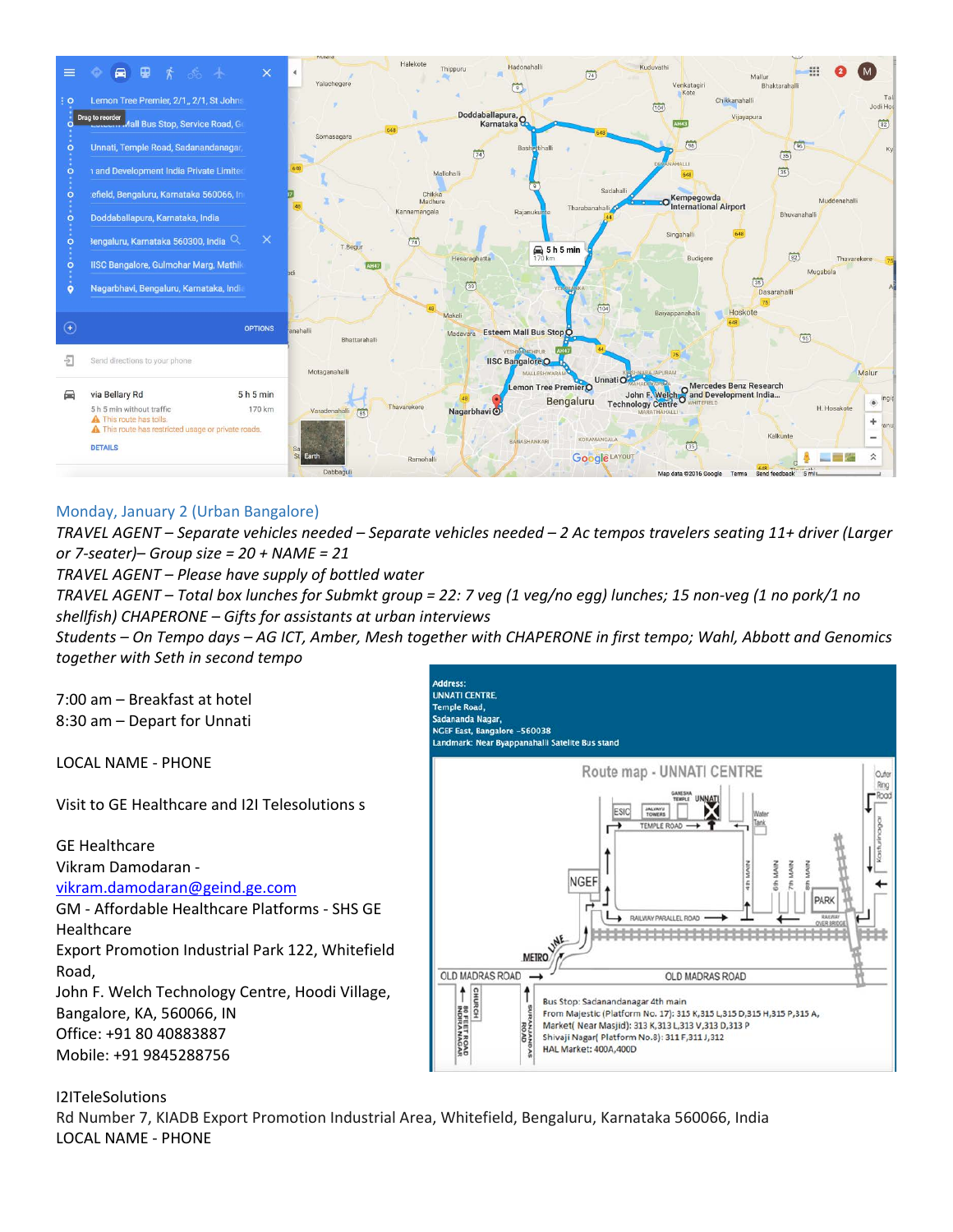

# Monday, January 2 (Urban Bangalore)

*TRAVEL AGENT – Separate vehicles needed – Separate vehicles needed – 2 Ac tempos travelers seating 11+ driver (Larger or 7-seater)– Group size = 20 + NAME = 21*

*TRAVEL AGENT – Please have supply of bottled water*

*TRAVEL AGENT – Total box lunches for Submkt group = 22: 7 veg (1 veg/no egg) lunches; 15 non-veg (1 no pork/1 no shellfish) CHAPERONE – Gifts for assistants at urban interviews*

*Students – On Tempo days – AG ICT, Amber, Mesh together with CHAPERONE in first tempo; Wahl, Abbott and Genomics together with Seth in second tempo* 

7:00 am – Breakfast at hotel 8:30 am – Depart for Unnati

LOCAL NAME - PHONE

Visit to GE Healthcare and I2I Telesolutions s

GE Healthcare

Vikram Damodaran -

[vikram.damodaran@geind.ge.com](mailto:vikram.damodaran@geind.ge.com)

GM - Affordable Healthcare Platforms - SHS GE Healthcare Export Promotion Industrial Park 122, Whitefield

Road, John F. Welch Technology Centre, Hoodi Village, Bangalore, KA, 560066, IN Office: +91 80 40883887 Mobile: +91 9845288756



# I2ITeleSolutions

Rd Number 7, KIADB Export Promotion Industrial Area, Whitefield, Bengaluru, Karnataka 560066, India LOCAL NAME - PHONE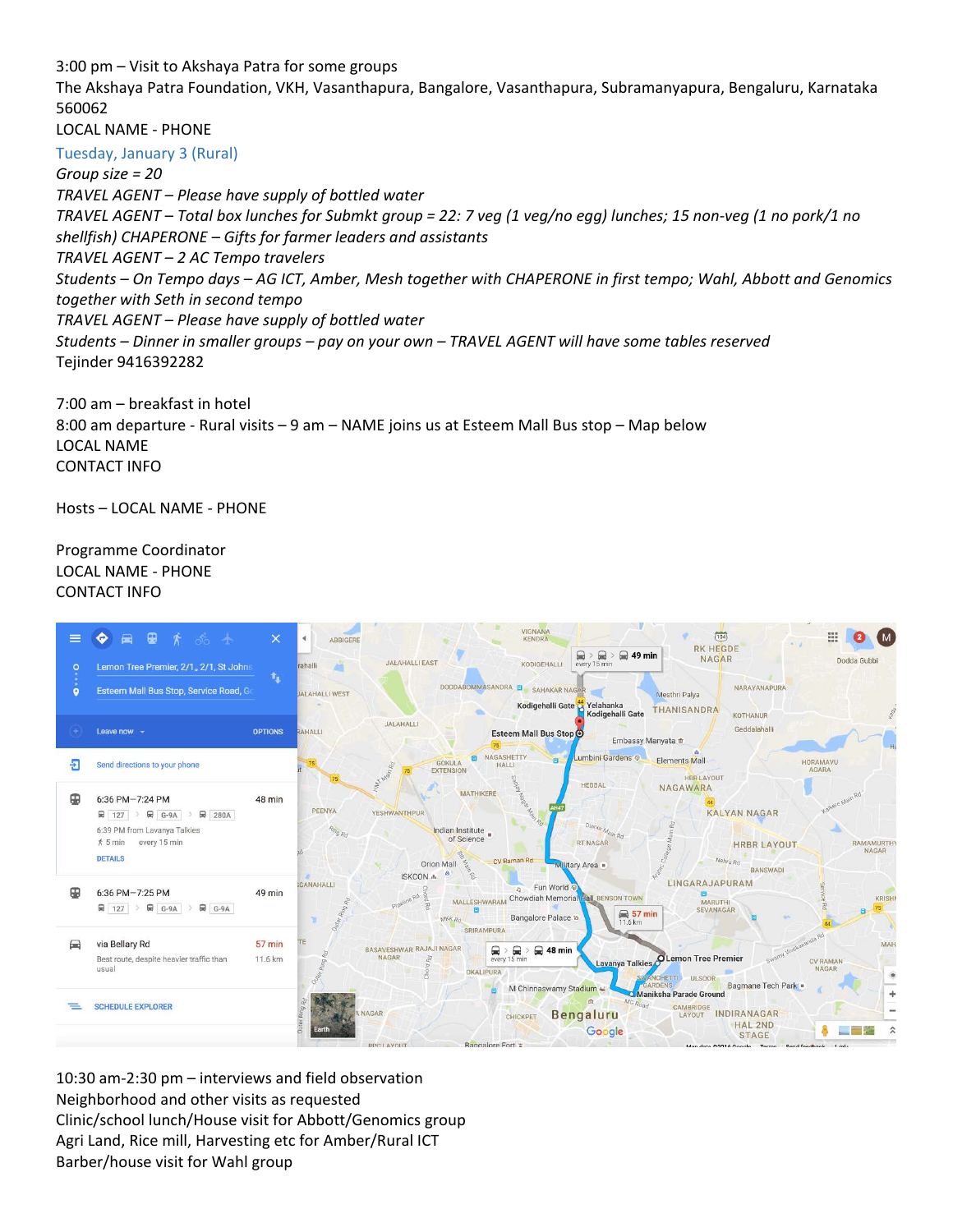3:00 pm – Visit to Akshaya Patra for some groups

The Akshaya Patra Foundation, VKH, Vasanthapura, Bangalore, Vasanthapura, Subramanyapura, Bengaluru, Karnataka 560062

LOCAL NAME - PHONE

Tuesday, January 3 (Rural)

*Group size = 20*

*TRAVEL AGENT – Please have supply of bottled water*

*TRAVEL AGENT – Total box lunches for Submkt group = 22: 7 veg (1 veg/no egg) lunches; 15 non-veg (1 no pork/1 no shellfish) CHAPERONE – Gifts for farmer leaders and assistants TRAVEL AGENT – 2 AC Tempo travelers*

*Students – On Tempo days – AG ICT, Amber, Mesh together with CHAPERONE in first tempo; Wahl, Abbott and Genomics together with Seth in second tempo* 

*TRAVEL AGENT – Please have supply of bottled water*

*Students – Dinner in smaller groups – pay on your own – TRAVEL AGENT will have some tables reserved* Tejinder 9416392282

7:00 am – breakfast in hotel 8:00 am departure - Rural visits – 9 am – NAME joins us at Esteem Mall Bus stop – Map below LOCAL NAME CONTACT INFO

Hosts – LOCAL NAME - PHONE

# Programme Coordinator LOCAL NAME - PHONE CONTACT INFO



10:30 am-2:30 pm – interviews and field observation Neighborhood and other visits as requested Clinic/school lunch/House visit for Abbott/Genomics group Agri Land, Rice mill, Harvesting etc for Amber/Rural ICT Barber/house visit for Wahl group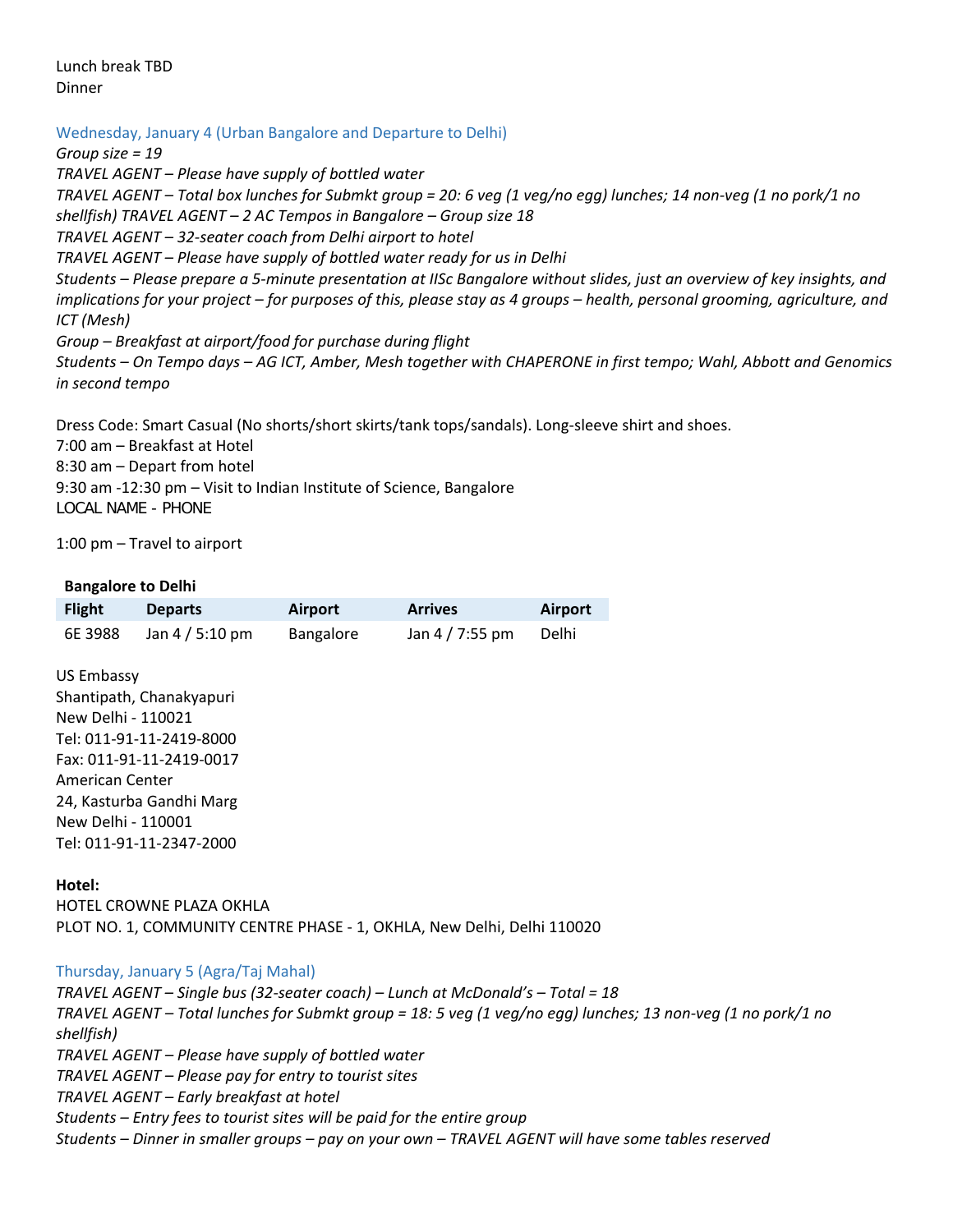Lunch break TBD Dinner

Wednesday, January 4 (Urban Bangalore and Departure to Delhi)

*Group size = 19*

*TRAVEL AGENT – Please have supply of bottled water TRAVEL AGENT – Total box lunches for Submkt group = 20: 6 veg (1 veg/no egg) lunches; 14 non-veg (1 no pork/1 no shellfish) TRAVEL AGENT – 2 AC Tempos in Bangalore – Group size 18 TRAVEL AGENT – 32-seater coach from Delhi airport to hotel TRAVEL AGENT – Please have supply of bottled water ready for us in Delhi Students – Please prepare a 5-minute presentation at IISc Bangalore without slides, just an overview of key insights, and implications for your project – for purposes of this, please stay as 4 groups – health, personal grooming, agriculture, and ICT (Mesh) Group – Breakfast at airport/food for purchase during flight Students – On Tempo days – AG ICT, Amber, Mesh together with CHAPERONE in first tempo; Wahl, Abbott and Genomics in second tempo* 

Dress Code: Smart Casual (No shorts/short skirts/tank tops/sandals). Long-sleeve shirt and shoes.

7:00 am – Breakfast at Hotel 8:30 am – Depart from hotel 9:30 am -12:30 pm – Visit to Indian Institute of Science, Bangalore LOCAL NAME - PHONE

1:00 pm – Travel to airport

## **Bangalore to Delhi**

| <b>Flight</b> | <b>Departs</b>  | Airport   | <b>Arrives</b>  | <b>Airport</b> |
|---------------|-----------------|-----------|-----------------|----------------|
| 6E 3988       | Jan 4 / 5:10 pm | Bangalore | Jan 4 / 7:55 pm | Delhi          |

US Embassy Shantipath, Chanakyapuri New Delhi - 110021 Tel: 011-91-11-2419-8000 Fax: 011-91-11-2419-0017 American Center 24, Kasturba Gandhi Marg New Delhi - 110001 Tel: 011-91-11-2347-2000

## **Hotel:**

HOTEL CROWNE PLAZA OKHLA PLOT NO. 1, COMMUNITY CENTRE PHASE - 1, OKHLA, New Delhi, Delhi 110020

## Thursday, January 5 (Agra/Taj Mahal)

*TRAVEL AGENT – Single bus (32-seater coach) – Lunch at McDonald's – Total = 18 TRAVEL AGENT – Total lunches for Submkt group = 18: 5 veg (1 veg/no egg) lunches; 13 non-veg (1 no pork/1 no shellfish) TRAVEL AGENT – Please have supply of bottled water TRAVEL AGENT – Please pay for entry to tourist sites TRAVEL AGENT – Early breakfast at hotel Students – Entry fees to tourist sites will be paid for the entire group Students – Dinner in smaller groups – pay on your own – TRAVEL AGENT will have some tables reserved*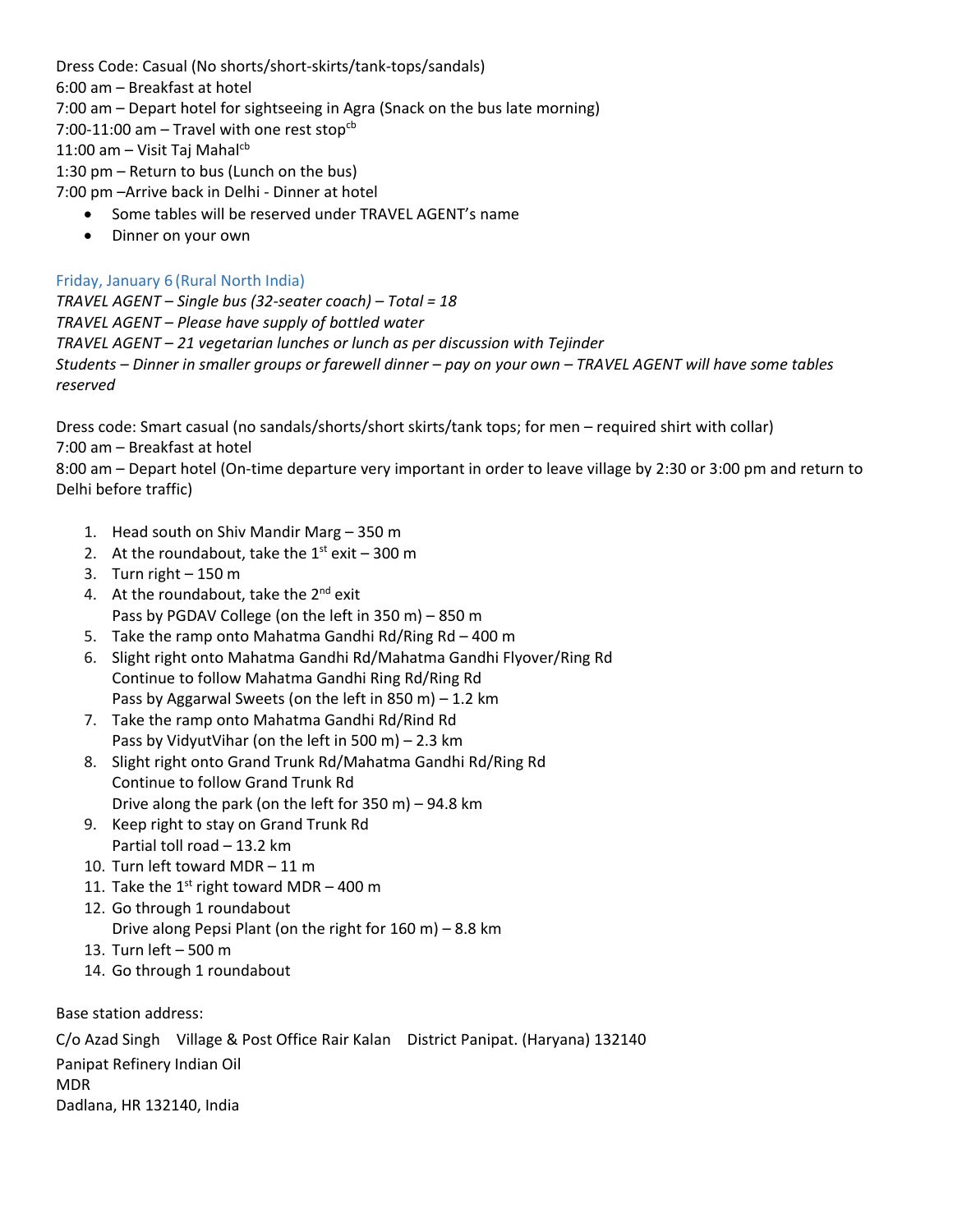Dress Code: Casual (No shorts/short-skirts/tank-tops/sandals) 6:00 am – Breakfast at hotel 7:00 am – Depart hotel for sightseeing in Agra (Snack on the bus late morning) 7:00-11:00 am – Travel with one rest stop<sup>cb</sup> 11:00 am - Visit Taj Mahal $cb$ 1:30 pm – Return to bus (Lunch on the bus) 7:00 pm –Arrive back in Delhi - Dinner at hotel

- Some tables will be reserved under TRAVEL AGENT's name
- Dinner on your own

# Friday, January 6 (Rural North India)

*TRAVEL AGENT – Single bus (32-seater coach) – Total = 18 TRAVEL AGENT – Please have supply of bottled water TRAVEL AGENT – 21 vegetarian lunches or lunch as per discussion with Tejinder Students – Dinner in smaller groups or farewell dinner – pay on your own – TRAVEL AGENT will have some tables reserved*

Dress code: Smart casual (no sandals/shorts/short skirts/tank tops; for men – required shirt with collar) 7:00 am – Breakfast at hotel

8:00 am – Depart hotel (On-time departure very important in order to leave village by 2:30 or 3:00 pm and return to Delhi before traffic)

- 1. Head south on Shiv Mandir Marg 350 m
- 2. At the roundabout, take the  $1^{st}$  exit 300 m
- 3. Turn right 150 m
- 4. At the roundabout, take the  $2^{nd}$  exit Pass by PGDAV College (on the left in 350 m) – 850 m
- 5. Take the ramp onto Mahatma Gandhi Rd/Ring Rd 400 m
- 6. Slight right onto Mahatma Gandhi Rd/Mahatma Gandhi Flyover/Ring Rd Continue to follow Mahatma Gandhi Ring Rd/Ring Rd Pass by Aggarwal Sweets (on the left in 850 m) – 1.2 km
- 7. Take the ramp onto Mahatma Gandhi Rd/Rind Rd Pass by VidyutVihar (on the left in 500 m) – 2.3 km
- 8. Slight right onto Grand Trunk Rd/Mahatma Gandhi Rd/Ring Rd Continue to follow Grand Trunk Rd Drive along the park (on the left for 350 m) – 94.8 km
- 9. Keep right to stay on Grand Trunk Rd Partial toll road – 13.2 km
- 10. Turn left toward MDR 11 m
- 11. Take the 1st right toward MDR  $-$  400 m
- 12. Go through 1 roundabout Drive along Pepsi Plant (on the right for 160 m) – 8.8 km
- 13. Turn left 500 m
- 14. Go through 1 roundabout

Base station address:

C/o Azad Singh Village & Post Office Rair Kalan District Panipat. (Haryana) 132140 Panipat Refinery Indian Oil MDR Dadlana, HR 132140, India